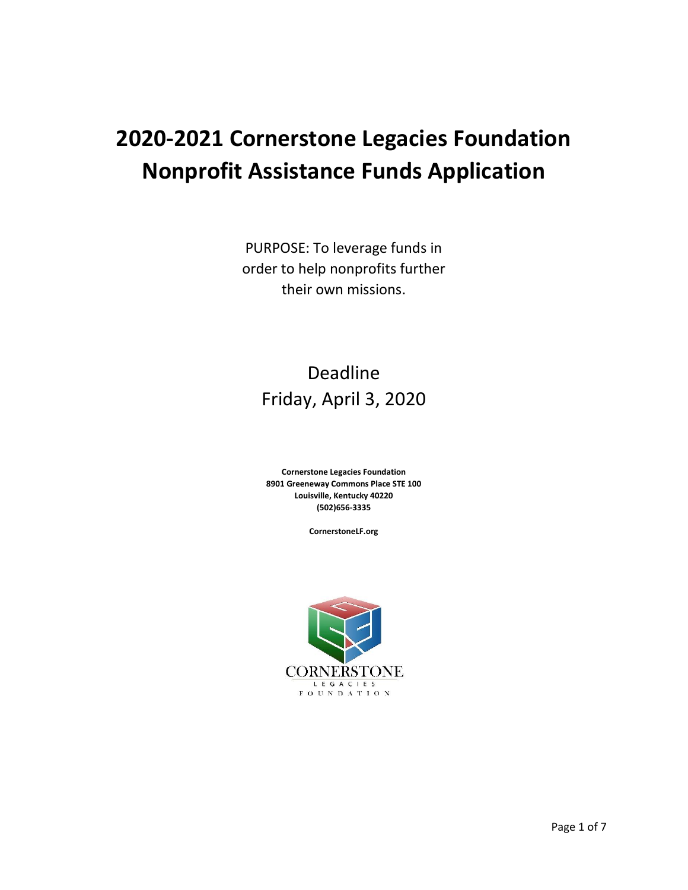# **2020-2021 Cornerstone Legacies Foundation Nonprofit Assistance Funds Application**

PURPOSE: To leverage funds in order to help nonprofits further their own missions.

## Deadline Friday, April 3, 2020

**Cornerstone Legacies Foundation 8901 Greeneway Commons Place STE 100 Louisville, Kentucky 40220 (502)656-3335**

**CornerstoneLF.org**

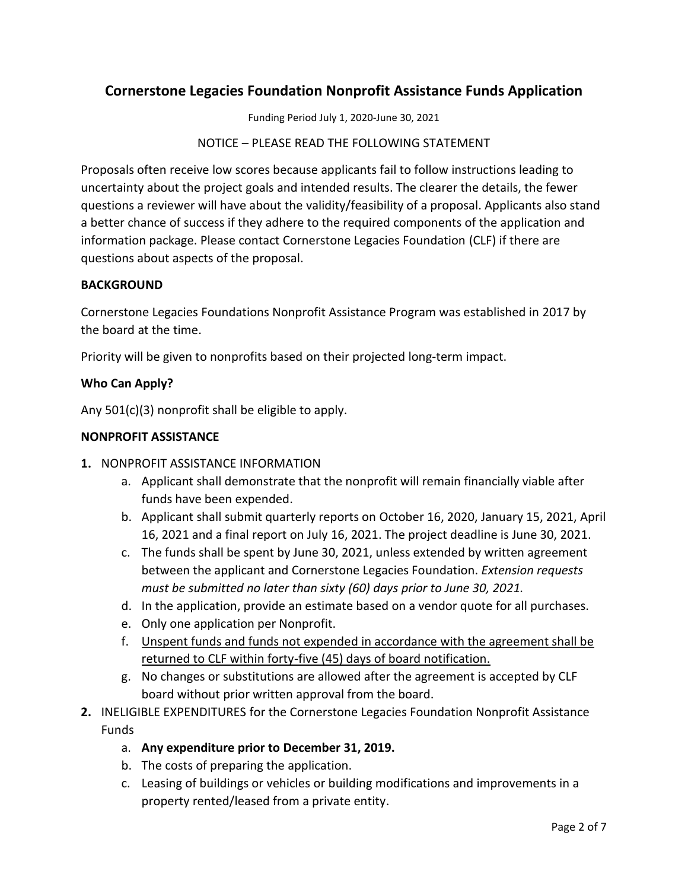### **Cornerstone Legacies Foundation Nonprofit Assistance Funds Application**

Funding Period July 1, 2020-June 30, 2021

NOTICE – PLEASE READ THE FOLLOWING STATEMENT

Proposals often receive low scores because applicants fail to follow instructions leading to uncertainty about the project goals and intended results. The clearer the details, the fewer questions a reviewer will have about the validity/feasibility of a proposal. Applicants also stand a better chance of success if they adhere to the required components of the application and information package. Please contact Cornerstone Legacies Foundation (CLF) if there are questions about aspects of the proposal.

#### **BACKGROUND**

Cornerstone Legacies Foundations Nonprofit Assistance Program was established in 2017 by the board at the time.

Priority will be given to nonprofits based on their projected long-term impact.

#### **Who Can Apply?**

Any 501(c)(3) nonprofit shall be eligible to apply.

#### **NONPROFIT ASSISTANCE**

- **1.** NONPROFIT ASSISTANCE INFORMATION
	- a. Applicant shall demonstrate that the nonprofit will remain financially viable after funds have been expended.
	- b. Applicant shall submit quarterly reports on October 16, 2020, January 15, 2021, April 16, 2021 and a final report on July 16, 2021. The project deadline is June 30, 2021.
	- c. The funds shall be spent by June 30, 2021, unless extended by written agreement between the applicant and Cornerstone Legacies Foundation. *Extension requests must be submitted no later than sixty (60) days prior to June 30, 2021.*
	- d. In the application, provide an estimate based on a vendor quote for all purchases.
	- e. Only one application per Nonprofit.
	- f. Unspent funds and funds not expended in accordance with the agreement shall be returned to CLF within forty-five (45) days of board notification.
	- g. No changes or substitutions are allowed after the agreement is accepted by CLF board without prior written approval from the board.
- **2.** INELIGIBLE EXPENDITURES for the Cornerstone Legacies Foundation Nonprofit Assistance **Funds** 
	- a. **Any expenditure prior to December 31, 2019.**
	- b. The costs of preparing the application.
	- c. Leasing of buildings or vehicles or building modifications and improvements in a property rented/leased from a private entity.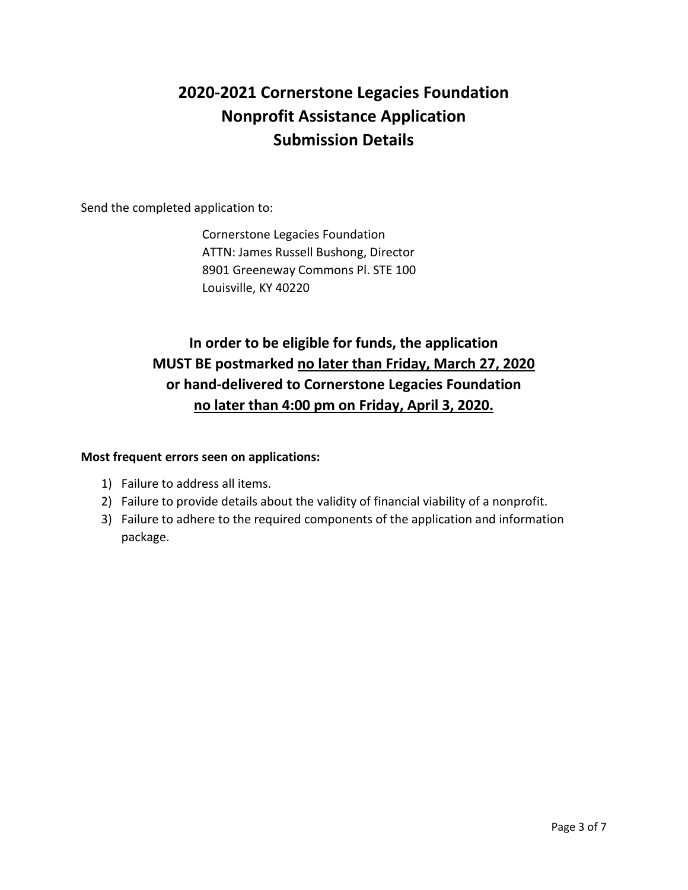### **2020-2021 Cornerstone Legacies Foundation Nonprofit Assistance Application Submission Details**

Send the completed application to:

Cornerstone Legacies Foundation ATTN: James Russell Bushong, Director 8901 Greeneway Commons Pl. STE 100 Louisville, KY 40220

### **In order to be eligible for funds, the application MUST BE postmarked no later than Friday, March 27, 2020 or hand-delivered to Cornerstone Legacies Foundation no later than 4:00 pm on Friday, April 3, 2020.**

### **Most frequent errors seen on applications:**

- 1) Failure to address all items.
- 2) Failure to provide details about the validity of financial viability of a nonprofit.
- 3) Failure to adhere to the required components of the application and information package.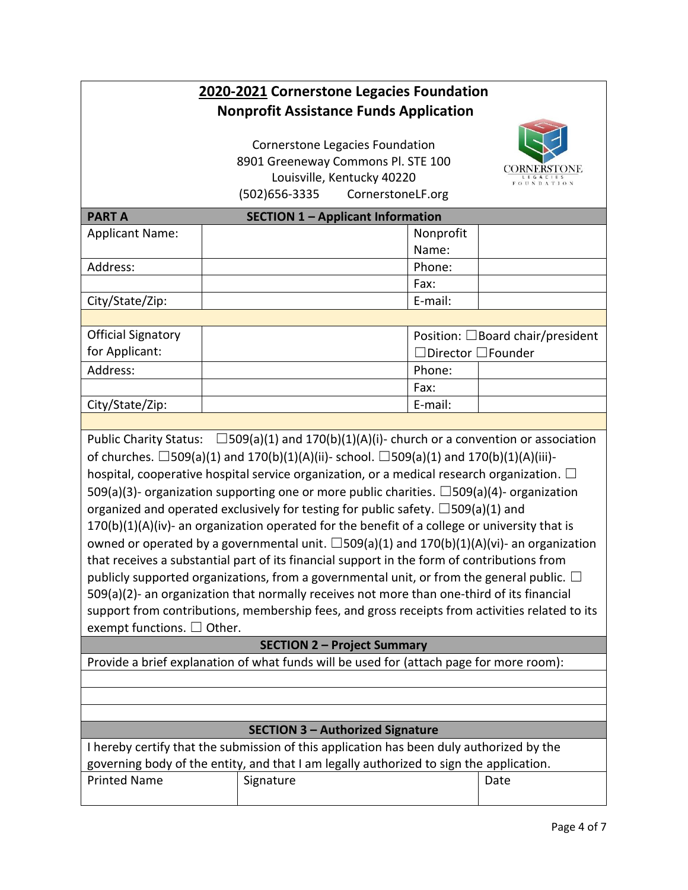### **2020-2021 Cornerstone Legacies Foundation Nonprofit Assistance Funds Application**

Cornerstone Legacies Foundation 8901 Greeneway Commons Pl. STE 100 Louisville, Kentucky 40220 (502)656-3335 CornerstoneLF.org



|                 | Fax:    |  |
|-----------------|---------|--|
| City/State/Zip: | E-mail: |  |
|                 |         |  |

Public Charity Status:  $\Box$ 509(a)(1) and 170(b)(1)(A)(i)- church or a convention or association of churches.  $\Box$ 509(a)(1) and 170(b)(1)(A)(ii)- school.  $\Box$ 509(a)(1) and 170(b)(1)(A)(iii)hospital, cooperative hospital service organization, or a medical research organization.  $\Box$ 509(a)(3)- organization supporting one or more public charities.  $\Box$ 509(a)(4)- organization organized and operated exclusively for testing for public safety.  $\square$ 509(a)(1) and 170(b)(1)(A)(iv)- an organization operated for the benefit of a college or university that is owned or operated by a governmental unit.  $\square$ 509(a)(1) and 170(b)(1)(A)(vi)- an organization that receives a substantial part of its financial support in the form of contributions from publicly supported organizations, from a governmental unit, or from the general public.  $\Box$ 509(a)(2)- an organization that normally receives not more than one-third of its financial support from contributions, membership fees, and gross receipts from activities related to its exempt functions. □ Other.

### **SECTION 2 – Project Summary**

Provide a brief explanation of what funds will be used for (attach page for more room):

### **SECTION 3 – Authorized Signature**

I hereby certify that the submission of this application has been duly authorized by the governing body of the entity, and that I am legally authorized to sign the application. Printed Name Signature Signature Date Date

LEGACIES<br>FOUNDATION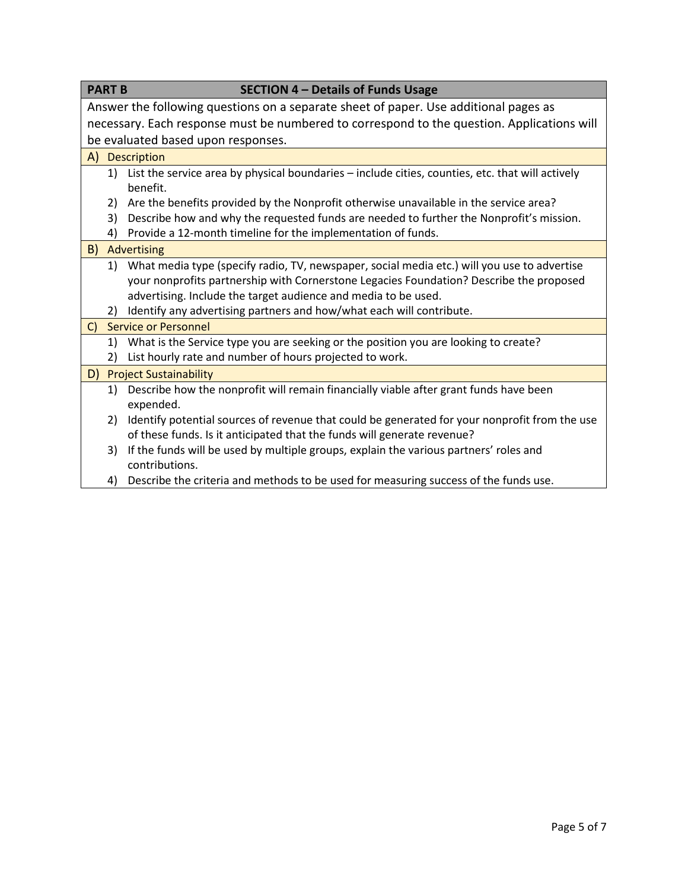| <b>PART B</b><br><b>SECTION 4 - Details of Funds Usage</b>                                                                                                                                                                                                     |  |  |  |  |
|----------------------------------------------------------------------------------------------------------------------------------------------------------------------------------------------------------------------------------------------------------------|--|--|--|--|
| Answer the following questions on a separate sheet of paper. Use additional pages as                                                                                                                                                                           |  |  |  |  |
| necessary. Each response must be numbered to correspond to the question. Applications will                                                                                                                                                                     |  |  |  |  |
| be evaluated based upon responses.                                                                                                                                                                                                                             |  |  |  |  |
| A) Description                                                                                                                                                                                                                                                 |  |  |  |  |
| List the service area by physical boundaries - include cities, counties, etc. that will actively<br>1)<br>benefit.                                                                                                                                             |  |  |  |  |
| Are the benefits provided by the Nonprofit otherwise unavailable in the service area?<br>2)                                                                                                                                                                    |  |  |  |  |
| Describe how and why the requested funds are needed to further the Nonprofit's mission.<br>3)                                                                                                                                                                  |  |  |  |  |
| Provide a 12-month timeline for the implementation of funds.<br>4)                                                                                                                                                                                             |  |  |  |  |
| B)<br>Advertising                                                                                                                                                                                                                                              |  |  |  |  |
| What media type (specify radio, TV, newspaper, social media etc.) will you use to advertise<br>1)<br>your nonprofits partnership with Cornerstone Legacies Foundation? Describe the proposed<br>advertising. Include the target audience and media to be used. |  |  |  |  |
| Identify any advertising partners and how/what each will contribute.<br>2)                                                                                                                                                                                     |  |  |  |  |
| <b>Service or Personnel</b><br>$\mathsf{C}$                                                                                                                                                                                                                    |  |  |  |  |
| What is the Service type you are seeking or the position you are looking to create?<br>1)<br>List hourly rate and number of hours projected to work.<br>2)                                                                                                     |  |  |  |  |
| D) Project Sustainability                                                                                                                                                                                                                                      |  |  |  |  |
| Describe how the nonprofit will remain financially viable after grant funds have been<br>1)<br>expended.                                                                                                                                                       |  |  |  |  |
| Identify potential sources of revenue that could be generated for your nonprofit from the use<br>2)<br>of these funds. Is it anticipated that the funds will generate revenue?                                                                                 |  |  |  |  |
| If the funds will be used by multiple groups, explain the various partners' roles and<br>3)<br>contributions.                                                                                                                                                  |  |  |  |  |
| Describe the criteria and methods to be used for measuring success of the funds use.<br>4)                                                                                                                                                                     |  |  |  |  |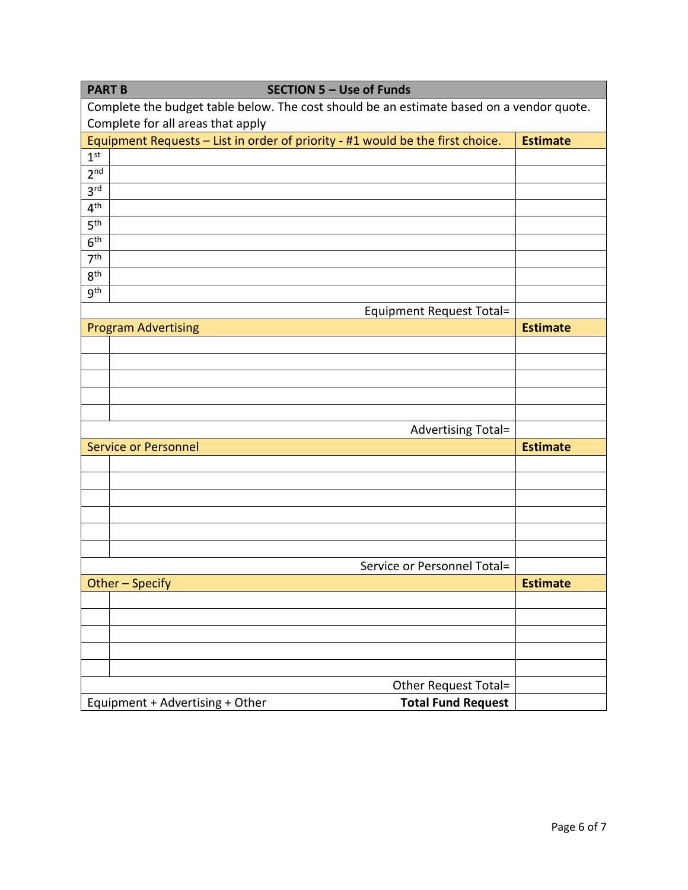| <b>SECTION 5 - Use of Funds</b><br><b>PART B</b>                                         |                 |  |  |  |
|------------------------------------------------------------------------------------------|-----------------|--|--|--|
| Complete the budget table below. The cost should be an estimate based on a vendor quote. |                 |  |  |  |
| Complete for all areas that apply                                                        |                 |  |  |  |
| Equipment Requests - List in order of priority - #1 would be the first choice.           | <b>Estimate</b> |  |  |  |
| 1 <sup>st</sup>                                                                          |                 |  |  |  |
| 2 <sub>nd</sub>                                                                          |                 |  |  |  |
| 3 <sup>rd</sup>                                                                          |                 |  |  |  |
| 4 <sup>th</sup>                                                                          |                 |  |  |  |
| 5 <sup>th</sup>                                                                          |                 |  |  |  |
| 6 <sup>th</sup>                                                                          |                 |  |  |  |
| 7 <sup>th</sup>                                                                          |                 |  |  |  |
| 8 <sup>th</sup>                                                                          |                 |  |  |  |
| <b>gth</b>                                                                               |                 |  |  |  |
| <b>Equipment Request Total=</b>                                                          |                 |  |  |  |
| <b>Program Advertising</b>                                                               | <b>Estimate</b> |  |  |  |
|                                                                                          |                 |  |  |  |
|                                                                                          |                 |  |  |  |
|                                                                                          |                 |  |  |  |
|                                                                                          |                 |  |  |  |
|                                                                                          |                 |  |  |  |
| Advertising Total=                                                                       |                 |  |  |  |
| <b>Service or Personnel</b>                                                              | <b>Estimate</b> |  |  |  |
|                                                                                          |                 |  |  |  |
|                                                                                          |                 |  |  |  |
|                                                                                          |                 |  |  |  |
|                                                                                          |                 |  |  |  |
|                                                                                          |                 |  |  |  |
|                                                                                          |                 |  |  |  |
| Service or Personnel Total=                                                              |                 |  |  |  |
| Other - Specify                                                                          | <b>Estimate</b> |  |  |  |
|                                                                                          |                 |  |  |  |
|                                                                                          |                 |  |  |  |
|                                                                                          |                 |  |  |  |
|                                                                                          |                 |  |  |  |
|                                                                                          |                 |  |  |  |
| Other Request Total=                                                                     |                 |  |  |  |
| <b>Total Fund Request</b><br>Equipment + Advertising + Other                             |                 |  |  |  |